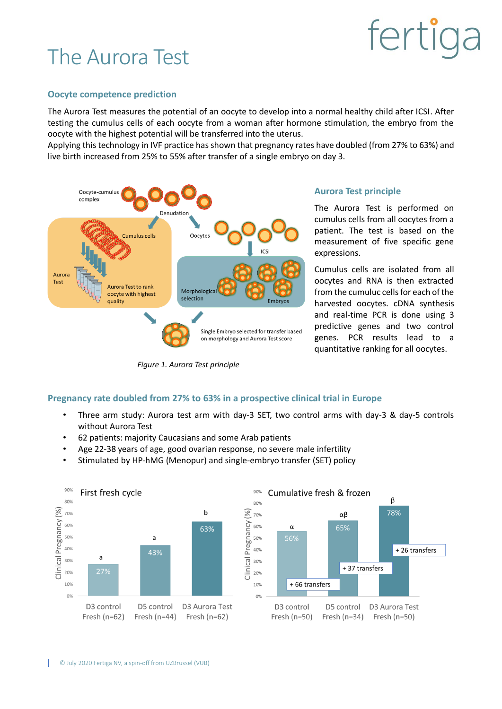### The Aurora Test

## fertic

#### **Oocyte competence prediction**

The Aurora Test measures the potential of an oocyte to develop into a normal healthy child after ICSI. After testing the cumulus cells of each oocyte from a woman after hormone stimulation, the embryo from the oocyte with the highest potential will be transferred into the uterus.

Applying this technology in IVF practice has shown that pregnancy rates have doubled (from 27% to 63%) and live birth increased from 25% to 55% after transfer of a single embryo on day 3.



*Figure 1. Aurora Test principle*

#### **Aurora Test principle**

The Aurora Test is performed on cumulus cells from all oocytes from a patient. The test is based on the measurement of five specific gene expressions.

Cumulus cells are isolated from all oocytes and RNA is then extracted from the cumuluc cells for each of the harvested oocytes. cDNA synthesis and real-time PCR is done using 3 predictive genes and two control genes. PCR results lead to a quantitative ranking for all oocytes.

#### **Pregnancy rate doubled from 27% to 63% in a prospective clinical trial in Europe**

- Three arm study: Aurora test arm with day-3 SET, two control arms with day-3 & day-5 controls without Aurora Test
- 62 patients: majority Caucasians and some Arab patients
- Age 22-38 years of age, good ovarian response, no severe male infertility
- Stimulated by HP-hMG (Menopur) and single-embryo transfer (SET) policy